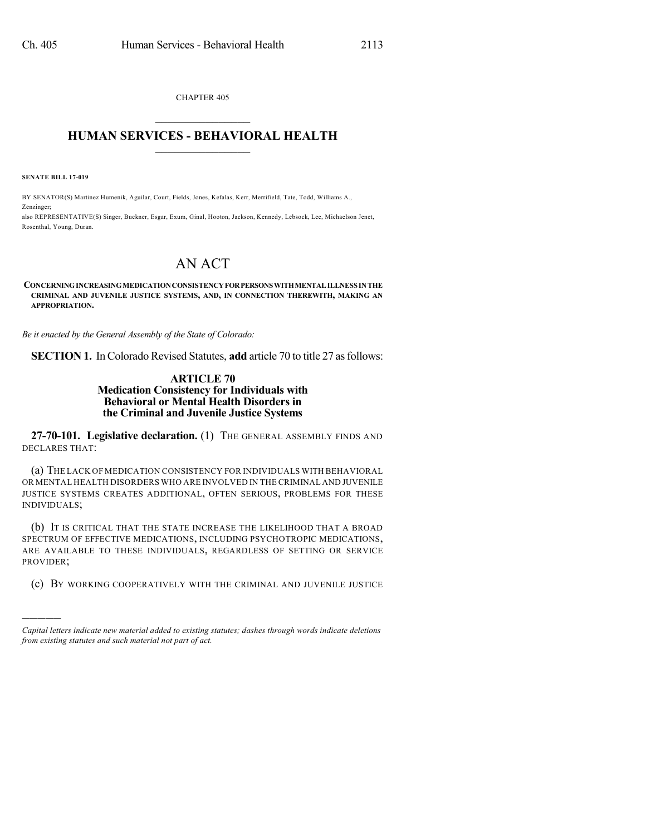CHAPTER 405  $\overline{\phantom{a}}$  . The set of the set of the set of the set of the set of the set of the set of the set of the set of the set of the set of the set of the set of the set of the set of the set of the set of the set of the set o

## **HUMAN SERVICES - BEHAVIORAL HEALTH**  $\frac{1}{2}$  ,  $\frac{1}{2}$  ,  $\frac{1}{2}$  ,  $\frac{1}{2}$  ,  $\frac{1}{2}$  ,  $\frac{1}{2}$  ,  $\frac{1}{2}$

**SENATE BILL 17-019**

Zenzinger;

)))))

BY SENATOR(S) Martinez Humenik, Aguilar, Court, Fields, Jones, Kefalas, Kerr, Merrifield, Tate, Todd, Williams A.,

also REPRESENTATIVE(S) Singer, Buckner, Esgar, Exum, Ginal, Hooton, Jackson, Kennedy, Lebsock, Lee, Michaelson Jenet, Rosenthal, Young, Duran.

## AN ACT

## **CONCERNINGINCREASINGMEDICATIONCONSISTENCYFORPERSONSWITHMENTALILLNESS INTHE CRIMINAL AND JUVENILE JUSTICE SYSTEMS, AND, IN CONNECTION THEREWITH, MAKING AN APPROPRIATION.**

*Be it enacted by the General Assembly of the State of Colorado:*

**SECTION 1.** In Colorado Revised Statutes, **add** article 70 to title 27 as follows:

## **ARTICLE 70 Medication Consistency for Individuals with Behavioral or Mental Health Disorders in the Criminal and Juvenile Justice Systems**

**27-70-101. Legislative declaration.** (1) THE GENERAL ASSEMBLY FINDS AND DECLARES THAT:

(a) THE LACK OF MEDICATION CONSISTENCY FOR INDIVIDUALS WITH BEHAVIORAL OR MENTAL HEALTH DISORDERS WHO ARE INVOLVED IN THE CRIMINAL AND JUVENILE JUSTICE SYSTEMS CREATES ADDITIONAL, OFTEN SERIOUS, PROBLEMS FOR THESE INDIVIDUALS;

(b) IT IS CRITICAL THAT THE STATE INCREASE THE LIKELIHOOD THAT A BROAD SPECTRUM OF EFFECTIVE MEDICATIONS, INCLUDING PSYCHOTROPIC MEDICATIONS, ARE AVAILABLE TO THESE INDIVIDUALS, REGARDLESS OF SETTING OR SERVICE PROVIDER;

(c) BY WORKING COOPERATIVELY WITH THE CRIMINAL AND JUVENILE JUSTICE

*Capital letters indicate new material added to existing statutes; dashes through words indicate deletions from existing statutes and such material not part of act.*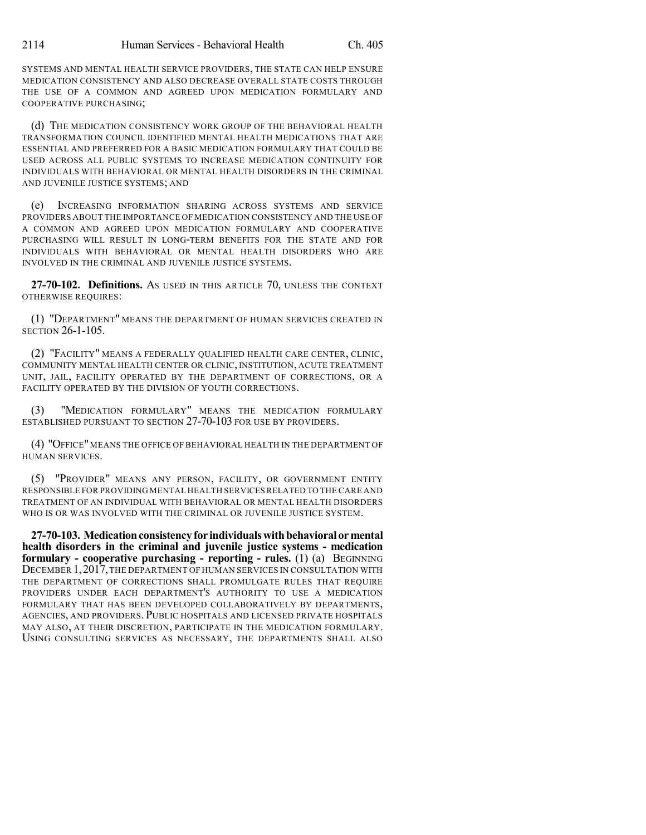SYSTEMS AND MENTAL HEALTH SERVICE PROVIDERS, THE STATE CAN HELP ENSURE MEDICATION CONSISTENCY AND ALSO DECREASE OVERALL STATE COSTS THROUGH THE USE OF A COMMON AND AGREED UPON MEDICATION FORMULARY AND COOPERATIVE PURCHASING;

(d) THE MEDICATION CONSISTENCY WORK GROUP OF THE BEHAVIORAL HEALTH TRANSFORMATION COUNCIL IDENTIFIED MENTAL HEALTH MEDICATIONS THAT ARE ESSENTIAL AND PREFERRED FOR A BASIC MEDICATION FORMULARY THAT COULD BE USED ACROSS ALL PUBLIC SYSTEMS TO INCREASE MEDICATION CONTINUITY FOR INDIVIDUALS WITH BEHAVIORAL OR MENTAL HEALTH DISORDERS IN THE CRIMINAL AND JUVENILE JUSTICE SYSTEMS; AND

(e) INCREASING INFORMATION SHARING ACROSS SYSTEMS AND SERVICE PROVIDERS ABOUT THE IMPORTANCE OF MEDICATION CONSISTENCY AND THE USE OF A COMMON AND AGREED UPON MEDICATION FORMULARY AND COOPERATIVE PURCHASING WILL RESULT IN LONG-TERM BENEFITS FOR THE STATE AND FOR INDIVIDUALS WITH BEHAVIORAL OR MENTAL HEALTH DISORDERS WHO ARE INVOLVED IN THE CRIMINAL AND JUVENILE JUSTICE SYSTEMS.

**27-70-102. Definitions.** AS USED IN THIS ARTICLE 70, UNLESS THE CONTEXT OTHERWISE REQUIRES:

(1) "DEPARTMENT" MEANS THE DEPARTMENT OF HUMAN SERVICES CREATED IN SECTION 26-1-105.

(2) "FACILITY" MEANS A FEDERALLY QUALIFIED HEALTH CARE CENTER, CLINIC, COMMUNITY MENTAL HEALTH CENTER OR CLINIC, INSTITUTION, ACUTE TREATMENT UNIT, JAIL, FACILITY OPERATED BY THE DEPARTMENT OF CORRECTIONS, OR A FACILITY OPERATED BY THE DIVISION OF YOUTH CORRECTIONS.

(3) "MEDICATION FORMULARY" MEANS THE MEDICATION FORMULARY ESTABLISHED PURSUANT TO SECTION 27-70-103 FOR USE BY PROVIDERS.

(4) "OFFICE"MEANS THE OFFICE OF BEHAVIORAL HEALTH IN THE DEPARTMENT OF HUMAN SERVICES.

(5) "PROVIDER" MEANS ANY PERSON, FACILITY, OR GOVERNMENT ENTITY RESPONSIBLE FOR PROVIDING MENTAL HEALTH SERVICESRELATED TO THE CARE AND TREATMENT OF AN INDIVIDUAL WITH BEHAVIORAL OR MENTAL HEALTH DISORDERS WHO IS OR WAS INVOLVED WITH THE CRIMINAL OR JUVENILE JUSTICE SYSTEM.

**27-70-103. Medicationconsistencyfor individualswithbehavioralormental health disorders in the criminal and juvenile justice systems - medication formulary - cooperative purchasing - reporting - rules.** (1) (a) BEGINNING DECEMBER 1,2017,THE DEPARTMENT OF HUMAN SERVICES IN CONSULTATION WITH THE DEPARTMENT OF CORRECTIONS SHALL PROMULGATE RULES THAT REQUIRE PROVIDERS UNDER EACH DEPARTMENT'S AUTHORITY TO USE A MEDICATION FORMULARY THAT HAS BEEN DEVELOPED COLLABORATIVELY BY DEPARTMENTS, AGENCIES, AND PROVIDERS. PUBLIC HOSPITALS AND LICENSED PRIVATE HOSPITALS MAY ALSO, AT THEIR DISCRETION, PARTICIPATE IN THE MEDICATION FORMULARY. USING CONSULTING SERVICES AS NECESSARY, THE DEPARTMENTS SHALL ALSO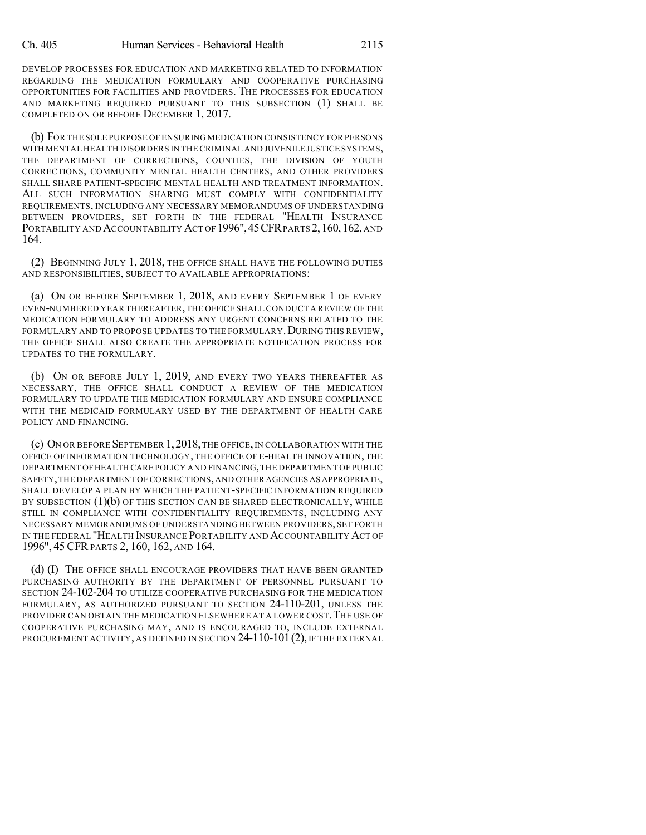DEVELOP PROCESSES FOR EDUCATION AND MARKETING RELATED TO INFORMATION REGARDING THE MEDICATION FORMULARY AND COOPERATIVE PURCHASING OPPORTUNITIES FOR FACILITIES AND PROVIDERS. THE PROCESSES FOR EDUCATION AND MARKETING REQUIRED PURSUANT TO THIS SUBSECTION (1) SHALL BE COMPLETED ON OR BEFORE DECEMBER 1, 2017.

(b) FOR THE SOLE PURPOSE OF ENSURING MEDICATION CONSISTENCY FOR PERSONS WITH MENTAL HEALTH DISORDERS IN THE CRIMINAL AND JUVENILE JUSTICE SYSTEMS, THE DEPARTMENT OF CORRECTIONS, COUNTIES, THE DIVISION OF YOUTH CORRECTIONS, COMMUNITY MENTAL HEALTH CENTERS, AND OTHER PROVIDERS SHALL SHARE PATIENT-SPECIFIC MENTAL HEALTH AND TREATMENT INFORMATION. ALL SUCH INFORMATION SHARING MUST COMPLY WITH CONFIDENTIALITY REQUIREMENTS, INCLUDING ANY NECESSARY MEMORANDUMS OF UNDERSTANDING BETWEEN PROVIDERS, SET FORTH IN THE FEDERAL "HEALTH INSURANCE PORTABILITY AND ACCOUNTABILITY ACT OF 1996", 45 CFR PARTS 2, 160, 162, AND 164.

(2) BEGINNING JULY 1, 2018, THE OFFICE SHALL HAVE THE FOLLOWING DUTIES AND RESPONSIBILITIES, SUBJECT TO AVAILABLE APPROPRIATIONS:

(a) ON OR BEFORE SEPTEMBER 1, 2018, AND EVERY SEPTEMBER 1 OF EVERY EVEN-NUMBERED YEAR THEREAFTER,THE OFFICE SHALL CONDUCT A REVIEW OF THE MEDICATION FORMULARY TO ADDRESS ANY URGENT CONCERNS RELATED TO THE FORMULARY AND TO PROPOSE UPDATES TO THE FORMULARY. DURING THIS REVIEW, THE OFFICE SHALL ALSO CREATE THE APPROPRIATE NOTIFICATION PROCESS FOR UPDATES TO THE FORMULARY.

(b) ON OR BEFORE JULY 1, 2019, AND EVERY TWO YEARS THEREAFTER AS NECESSARY, THE OFFICE SHALL CONDUCT A REVIEW OF THE MEDICATION FORMULARY TO UPDATE THE MEDICATION FORMULARY AND ENSURE COMPLIANCE WITH THE MEDICAID FORMULARY USED BY THE DEPARTMENT OF HEALTH CARE POLICY AND FINANCING.

(c) ON OR BEFORE SEPTEMBER 1,2018,THE OFFICE,IN COLLABORATION WITH THE OFFICE OF INFORMATION TECHNOLOGY, THE OFFICE OF E-HEALTH INNOVATION, THE DEPARTMENT OFHEALTH CARE POLICY AND FINANCING,THE DEPARTMENT OF PUBLIC SAFETY,THE DEPARTMENT OF CORRECTIONS,AND OTHER AGENCIES AS APPROPRIATE, SHALL DEVELOP A PLAN BY WHICH THE PATIENT-SPECIFIC INFORMATION REQUIRED BY SUBSECTION (1)(b) OF THIS SECTION CAN BE SHARED ELECTRONICALLY, WHILE STILL IN COMPLIANCE WITH CONFIDENTIALITY REQUIREMENTS, INCLUDING ANY NECESSARY MEMORANDUMS OF UNDERSTANDING BETWEEN PROVIDERS, SET FORTH IN THE FEDERAL "HEALTH INSURANCE PORTABILITY AND ACCOUNTABILITY ACT OF 1996", 45 CFR PARTS 2, 160, 162, AND 164.

(d) (I) THE OFFICE SHALL ENCOURAGE PROVIDERS THAT HAVE BEEN GRANTED PURCHASING AUTHORITY BY THE DEPARTMENT OF PERSONNEL PURSUANT TO SECTION 24-102-204 TO UTILIZE COOPERATIVE PURCHASING FOR THE MEDICATION FORMULARY, AS AUTHORIZED PURSUANT TO SECTION 24-110-201, UNLESS THE PROVIDER CAN OBTAIN THE MEDICATION ELSEWHERE AT A LOWER COST. THE USE OF COOPERATIVE PURCHASING MAY, AND IS ENCOURAGED TO, INCLUDE EXTERNAL PROCUREMENT ACTIVITY, AS DEFINED IN SECTION 24-110-101 (2), IF THE EXTERNAL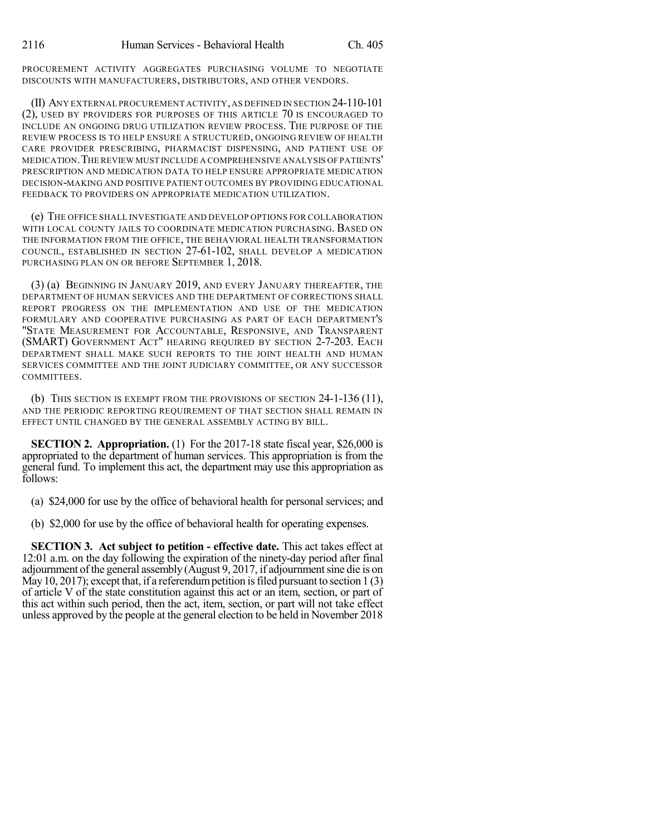PROCUREMENT ACTIVITY AGGREGATES PURCHASING VOLUME TO NEGOTIATE DISCOUNTS WITH MANUFACTURERS, DISTRIBUTORS, AND OTHER VENDORS.

(II) ANY EXTERNAL PROCUREMENT ACTIVITY,AS DEFINED IN SECTION 24-110-101 (2), USED BY PROVIDERS FOR PURPOSES OF THIS ARTICLE 70 IS ENCOURAGED TO INCLUDE AN ONGOING DRUG UTILIZATION REVIEW PROCESS. THE PURPOSE OF THE REVIEW PROCESS IS TO HELP ENSURE A STRUCTURED, ONGOING REVIEW OF HEALTH CARE PROVIDER PRESCRIBING, PHARMACIST DISPENSING, AND PATIENT USE OF MEDICATION.THE REVIEW MUST INCLUDE A COMPREHENSIVE ANALYSIS OF PATIENTS' PRESCRIPTION AND MEDICATION DATA TO HELP ENSURE APPROPRIATE MEDICATION DECISION-MAKING AND POSITIVE PATIENT OUTCOMES BY PROVIDING EDUCATIONAL FEEDBACK TO PROVIDERS ON APPROPRIATE MEDICATION UTILIZATION.

(e) THE OFFICE SHALL INVESTIGATE AND DEVELOP OPTIONS FOR COLLABORATION WITH LOCAL COUNTY JAILS TO COORDINATE MEDICATION PURCHASING. BASED ON THE INFORMATION FROM THE OFFICE, THE BEHAVIORAL HEALTH TRANSFORMATION COUNCIL, ESTABLISHED IN SECTION 27-61-102, SHALL DEVELOP A MEDICATION PURCHASING PLAN ON OR BEFORE SEPTEMBER 1, 2018.

(3) (a) BEGINNING IN JANUARY 2019, AND EVERY JANUARY THEREAFTER, THE DEPARTMENT OF HUMAN SERVICES AND THE DEPARTMENT OF CORRECTIONS SHALL REPORT PROGRESS ON THE IMPLEMENTATION AND USE OF THE MEDICATION FORMULARY AND COOPERATIVE PURCHASING AS PART OF EACH DEPARTMENT'S "STATE MEASUREMENT FOR ACCOUNTABLE, RESPONSIVE, AND TRANSPARENT (SMART) GOVERNMENT ACT" HEARING REQUIRED BY SECTION 2-7-203. EACH DEPARTMENT SHALL MAKE SUCH REPORTS TO THE JOINT HEALTH AND HUMAN SERVICES COMMITTEE AND THE JOINT JUDICIARY COMMITTEE, OR ANY SUCCESSOR COMMITTEES.

(b) THIS SECTION IS EXEMPT FROM THE PROVISIONS OF SECTION 24-1-136 (11), AND THE PERIODIC REPORTING REQUIREMENT OF THAT SECTION SHALL REMAIN IN EFFECT UNTIL CHANGED BY THE GENERAL ASSEMBLY ACTING BY BILL.

**SECTION 2. Appropriation.** (1) For the 2017-18 state fiscal year, \$26,000 is appropriated to the department of human services. This appropriation is from the general fund. To implement this act, the department may use this appropriation as follows:

(a) \$24,000 for use by the office of behavioral health for personal services; and

(b) \$2,000 for use by the office of behavioral health for operating expenses.

**SECTION 3. Act subject to petition - effective date.** This act takes effect at 12:01 a.m. on the day following the expiration of the ninety-day period after final adjournment of the general assembly (August 9, 2017, if adjournment sine die is on May 10, 2017); except that, if a referendum petition is filed pursuant to section 1 (3) of article V of the state constitution against this act or an item, section, or part of this act within such period, then the act, item, section, or part will not take effect unless approved by the people at the general election to be held in November 2018